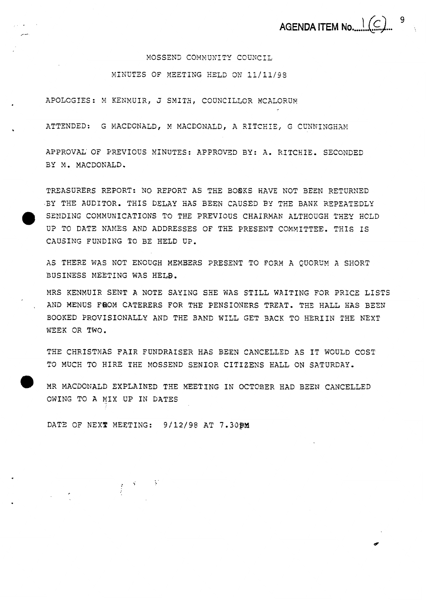9 **AGENDA ITEM No** .... !..(C>... >.

*6* 

MOSSEND COMMUNITY COUNCIL

MINUTES OF MEETING HELD ON 11/11/98

APOLOGIES: M KENMUIR, J SMITH, COUNCILLOR MCALORUM

ATTENDED: G MACDONALD, M MACDONALD, A RITCHIE, G CUNNINGHAM

APPROVAL' OF PREVIOUS MINUTES: APPROVED BY: A. RITCHIE. SECONDED BY M. MACDONALD.

TREASURERS REPORT: NO REPORT AS THE BOØKS HAVE NOT BEEN RETURNED .BY THE AUDITOR. THIS DELAY EAS **BEEN CAUSED** BY THE **BAXK** REPEATEDLY SENDING COMMUNICATIONS TO THE PREVIOUS CHAIRMAN ALTHOUGH THEY HOLD **UP** TO DATE NAMES AND ADDRESSES OF THE PRESENT COMMITTEE. TiiIS **IS**  CAUSING FUNDING TO **BE** HELD **U??.** 

AS THERE WAS NOT ENOUGH MEMBERS PRESENT TO FORM A QUORUM A SHORT **BUSINESS** MEETING WAS HELB.

MRS KENMUIR SENT **A** NOTE SAYING SHE WAS STILL WAITING FOX PRICE LISTS , **AND** MENUS FROM CATERERS FOR TEE PENSIONERS TREAT. THE HALL HAS BESN SOOKED PROVISIONALLY AND THE **BAND** WILL GET BACK TO HERIIN THE NEXT **WEEK** OR **TWO.** 

THE CHRISTMAS FAIR FUNDRAISER HAS BEEN CANCELLED AS IT WOULD COST **T3** MUCH TO HIRE THE MOSSEND SENIOR CITIZENS HALL ON SATURDAY.

*0* MR MACDONALD EXPLAINED THE MEETING **IN** OCTOBER HAD BEEN CANCELLED OWING TO **A** MIX UP IN DATES

DATE OF **SEX2** MEETING: 9/12/98 AT **7.30pM** 

 $\frac{1}{2} \left( \begin{array}{cc} \mathcal{A} & \cdots & \mathcal{V} \end{array} \right)$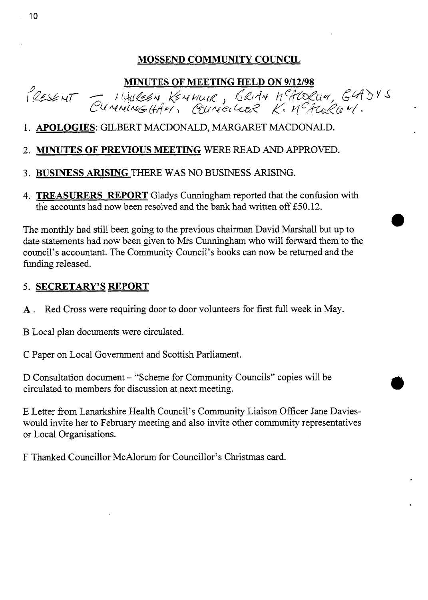### **MOSSEND COMMUNITY COUNCIL**

MINUTES OF MEETING HELD ON 9/12/98<br>PRESENT CUMMING (HAV), BRIAN HEADQUI, GADYS

- 1. APOLOGIES: GILBERT MACDONALD, MARGARET MACDONALD.
- 2. **MINUTES OF PREVIOUS MEETING** WERE READ *AND* APPROVED.
- 3. **BUSINESS ARISING** THERE **WAS** NO **BUSINESS** ARISING.
- **4. TREASURERS REPORT** Gladys Cunningham reported that the confusion with the accounts had now been resolved and the bank had written off E50.12.

*0* The monthly had still been going to the previous chairman David Marshal1 but **up** to date statements had now been given to Mrs Cunningham who will forward them to the council's accountant. The Community Council's books can now be returned and the fimding released.

#### 5. **SECRETARY'S REPORT**

- A. Red Cross were requiring door to door volunteers for first full week in May.
- B Local plan documents were circulated.

C Paper on Local Govement and Scottish Parliament.

D Consultation document – "Scheme for Community Councils" copies will be circulated to members for discussion at next meeting.

E Letter from Lanarkshire Health Council's Community Liaison Officer Jane Davieswould invite her to February meeting and also invite other community representatives or Local Organisations.

F Thanked Councillor McAlorum for Councillor's Christmas card.